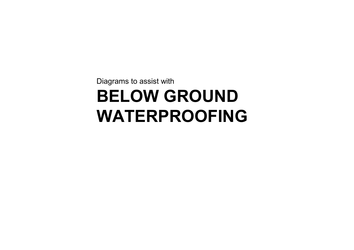Diagrams to assist with **BELOW GROUND WATERPROOFING**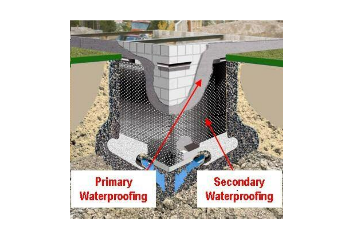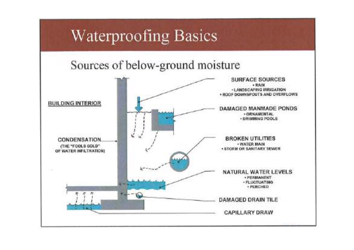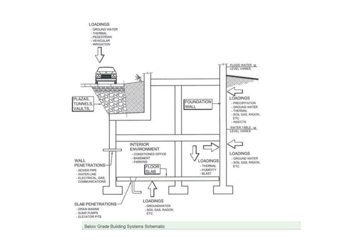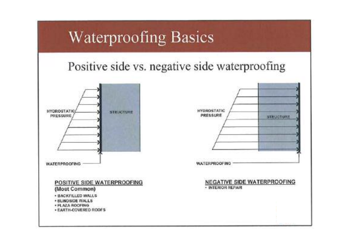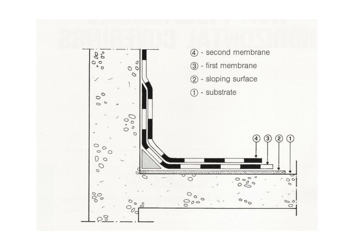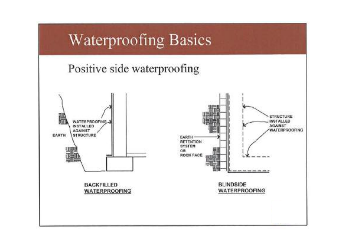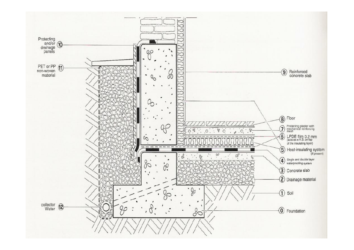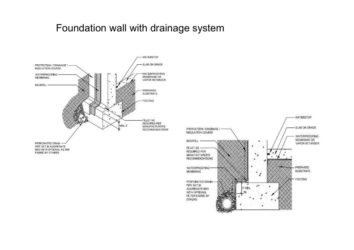#### Foundation wall with drainage system



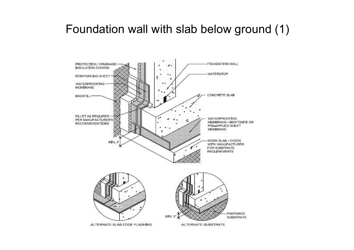# Foundation wall with slab below ground (1)

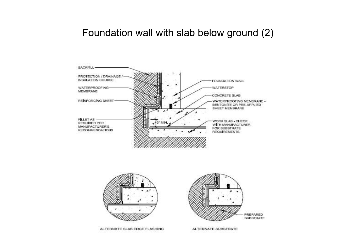## Foundation wall with slab below ground (2)



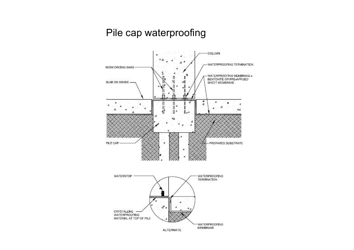#### Pile cap waterproofing

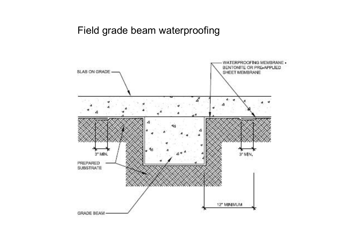#### Field grade beam waterproofing

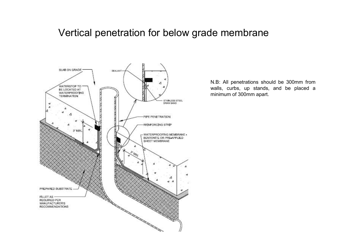### Vertical penetration for below grade membrane



N.B: All penetrations should be 300mm from walls, curbs, up stands, and be placed <sup>a</sup> minimum of 300mm apart.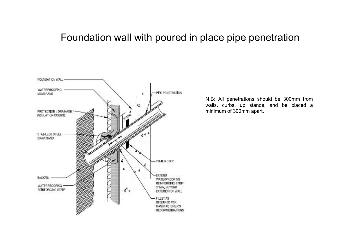#### Foundation wall with poured in place pipe penetration



N.B: All penetrations should be 300mm from walls, curbs, up stands, and be placed <sup>a</sup> minimum of 300mm apart.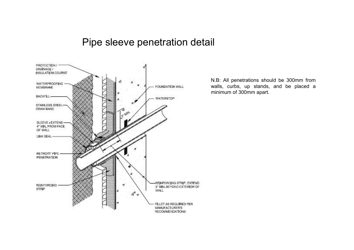#### Pipe sleeve penetration detail



N.B: All penetrations should be 300mm from walls, curbs, up stands, and be placed <sup>a</sup> minimum of 300mm apart.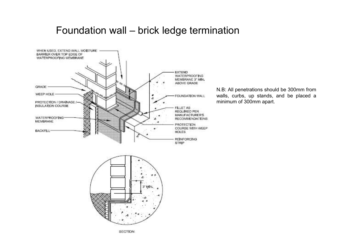#### Foundation wall – brick ledge termination



N.B: All penetrations should be 300mm from walls, curbs, up stands, and be placed <sup>a</sup> minimum of 300mm apart.



**SECTION**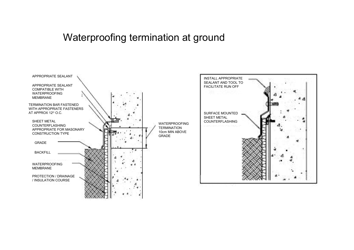# Waterproofing termination at ground

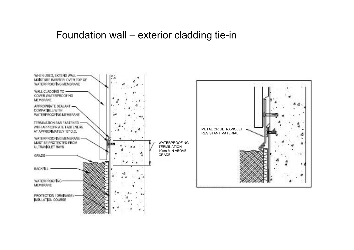#### Foundation wall – exterior cladding tie-in

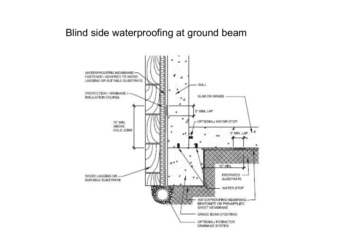#### Blind side waterproofing at ground beam

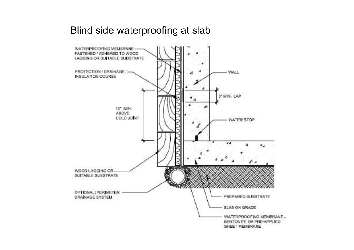#### Blind side waterproofing at slab

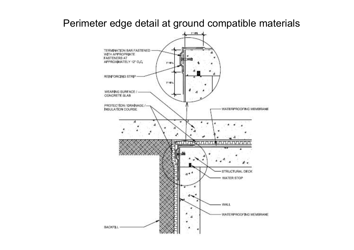#### Perimeter edge detail at ground compatible materials